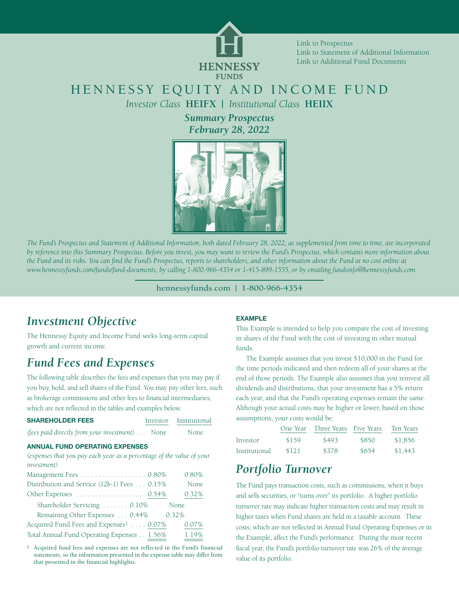

Link to [Prospectus](https://go.hennessyfunds.com/StatutoryProspectus.pdf) Link to Statement of Additional [Information](https://go.hennessyfunds.com/HFStatementofAdditionalInformation.pdf) Link to Additional Fund [Documents](https://www.hennessyfunds.com/funds/fund-documents)

### HENNESSY EQUITY AND INCOME FUND

*Investor Class* **HEIFX |** *Institutional Class* **HEIIX**

*Summary Prospectus February 28, 2022*



The Fund's Prospectus and Statement of Additional Information, both dated February 28, 2022, as supplemented from time to time, are incorporated by reference into this Summary Prospectus. Before you invest, you may want to review the Fund's Prospectus, which contains more information about the Fund and its risks. You can find the Fund's Prospectus, reports to shareholders, and other information about the Fund at no cost online at *[www.hennessyfunds.com/funds/fund-documents,](http://hennessyfunds.com/funds/fund-documents) by calling 1-800-966-4354 or 1-415-899-1555, or by emailing fundsinfo@hennessyfunds.com.*

hennessyfunds.com | 1-800-966-4354

## *Investment Objective*

The Hennessy Equity and Income Fund seeks long-term capital growth and current income.

## *Fund Fees and Expenses*

The following table describes the fees and expenses that you may pay if you buy, hold, and sell shares of the Fund. You may pay other fees, such as brokerage commissions and other fees to financial intermediaries, which are not reflected in the tables and examples below.

| <b>SHAREHOLDER FEES</b>                                               | Investor | Institutional |
|-----------------------------------------------------------------------|----------|---------------|
| (fees paid directly from your investment) None                        |          | None.         |
| <b>ANNUAL FUND OPERATING EXPENSES</b>                                 |          |               |
| (expenses that you pay each year as a percentage of the value of your |          |               |
| <i>investment</i> )                                                   |          |               |
| Management Fees 0.80%                                                 |          | 0.80%         |
| Distribution and Service (12b-1) Fees 0.15%                           |          | None.         |
|                                                                       |          | 0.32%         |
| Shareholder Servicing  0.10%                                          |          | None          |
| Remaining Other Expenses 0.44%                                        |          | 0.32%         |
| Acquired Fund Fees and Expenses <sup>1</sup> 0.07%                    |          | 0.07%         |
| Total Annual Fund Operating Expenses 1.56%                            |          | 1.19%         |

1 Acquired fund fees and expenses are not reflected in the Fund's financial statements, so the information presented in the expense table may differ from that presented in the financial highlights.

### **EXAMPLE**

This Example is intended to help you compare the cost of investing in shares of the Fund with the cost of investing in other mutual funds.

The Example assumes that you invest \$10,000 in the Fund for the time periods indicated and then redeem all of your shares at the end of those periods. The Example also assumes that you reinvest all dividends and distributions, that your investment has a 5% return each year, and that the Fund's operating expenses remain the same. Although your actual costs may be higher or lower, based on those assumptions, your costs would be:

|               | One Year | Three Years Five Years |       | Ten Years |
|---------------|----------|------------------------|-------|-----------|
| Investor      | \$159    | \$493                  | \$850 | \$1,856   |
| Institutional | \$121    | \$378                  | \$654 | \$1.443   |

## *Portfolio Turnover*

The Fund pays transaction costs, such as commissions, when it buys and sells securities, or "turns over" its portfolio. A higher portfolio turnover rate may indicate higher transaction costs and may result in higher taxes when Fund shares are held in a taxable account. These costs, which are not reflected in Annual Fund Operating Expenses or in the Example, affect the Fund's performance. During the most recent fiscal year, the Fund's portfolio turnover rate was 26% of the average value of its portfolio.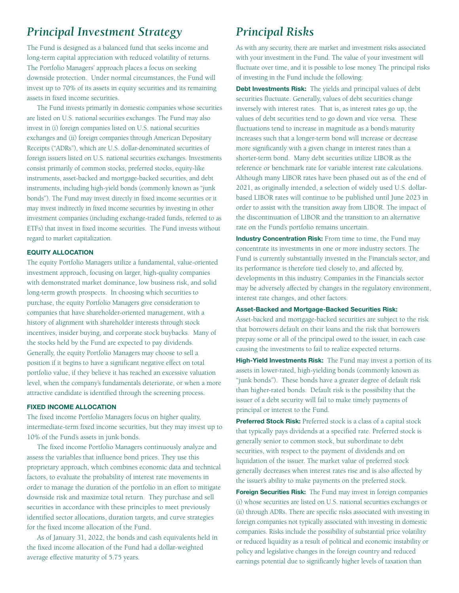## *Principal Investment Strategy*

The Fund is designed as a balanced fund that seeks income and long-term capital appreciation with reduced volatility of returns. The Portfolio Managers' approach places a focus on seeking downside protection. Under normal circumstances, the Fund will invest up to 70% of its assets in equity securities and its remaining assets in fixed income securities.

The Fund invests primarily in domestic companies whose securities are listed on U.S. national securities exchanges. The Fund may also invest in (i) foreign companies listed on U.S. national securities exchanges and (ii) foreign companies through American Depositary Receipts ("ADRs"), which are U.S. dollar-denominated securities of foreign issuers listed on U.S. national securities exchanges. Investments consist primarily of common stocks, preferred stocks, equity-like instruments, asset-backed and mortgage-backed securities, and debt instruments, including high-yield bonds (commonly known as "junk bonds"). The Fund may invest directly in fixed income securities or it may invest indirectly in fixed income securities by investing in other investment companies (including exchange-traded funds, referred to as ETFs) that invest in fixed income securities. The Fund invests without regard to market capitalization.

### **EQUITY ALLOCATION**

The equity Portfolio Managers utilize a fundamental, value-oriented investment approach, focusing on larger, high-quality companies with demonstrated market dominance, low business risk, and solid long-term growth prospects. In choosing which securities to purchase, the equity Portfolio Managers give consideration to companies that have shareholder-oriented management, with a history of alignment with shareholder interests through stock incentives, insider buying, and corporate stock buybacks. Many of the stocks held by the Fund are expected to pay dividends. Generally, the equity Portfolio Managers may choose to sell a position if it begins to have a significant negative effect on total portfolio value, if they believe it has reached an excessive valuation level, when the company's fundamentals deteriorate, or when a more attractive candidate is identified through the screening process.

#### **FIXED INCOME ALLOCATION**

The fixed income Portfolio Managers focus on higher quality, intermediate-term fixed income securities, but they may invest up to 10% of the Fund's assets in junk bonds.

The fixed income Portfolio Managers continuously analyze and assess the variables that influence bond prices. They use this proprietary approach, which combines economic data and technical factors, to evaluate the probability of interest rate movements in order to manage the duration of the portfolio in an effort to mitigate downside risk and maximize total return. They purchase and sell securities in accordance with these principles to meet previously identified sector allocations, duration targets, and curve strategies for the fixed income allocation of the Fund.

As of January 31, 2022, the bonds and cash equivalents held in the fixed income allocation of the Fund had a dollar-weighted average effective maturity of 5.75 years.

### *Principal Risks*

As with any security, there are market and investment risks associated with your investment in the Fund. The value of your investment will fluctuate over time, and it is possible to lose money. The principal risks of investing in the Fund include the following:

**Debt Investments Risk:** The yields and principal values of debt securities fluctuate. Generally, values of debt securities change inversely with interest rates. That is, as interest rates go up, the values of debt securities tend to go down and vice versa. These fluctuations tend to increase in magnitude as a bond's maturity increases such that a longer-term bond will increase or decrease more significantly with a given change in interest rates than a shorter-term bond. Many debt securities utilize LIBOR as the reference or benchmark rate for variable interest rate calculations. Although many LIBOR rates have been phased out as of the end of 2021, as originally intended, a selection of widely used U.S. dollarbased LIBOR rates will continue to be published until June 2023 in order to assist with the transition away from LIBOR. The impact of the discontinuation of LIBOR and the transition to an alternative rate on the Fund's portfolio remains uncertain.

**Industry Concentration Risk:** From time to time, the Fund may concentrate its investments in one or more industry sectors. The Fund is currently substantially invested in the Financials sector, and its performance is therefore tied closely to, and affected by, developments in this industry. Companies in the Financials sector may be adversely affected by changes in the regulatory environment, interest rate changes, and other factors.

### **Asset-Backed and Mortgage-Backed Securities Risk:**

Asset-backed and mortgage-backed securities are subject to the risk that borrowers default on their loans and the risk that borrowers prepay some or all of the principal owed to the issuer, in each case causing the investments to fail to realize expected returns.

**High-Yield Investments Risk:** The Fund may invest a portion of its assets in lower-rated, high-yielding bonds (commonly known as "junk bonds"). These bonds have a greater degree of default risk than higher-rated bonds. Default risk is the possibility that the issuer of a debt security will fail to make timely payments of principal or interest to the Fund.

**Preferred Stock Risk:** Preferred stock is a class of a capital stock that typically pays dividends at a specified rate. Preferred stock is generally senior to common stock, but subordinate to debt securities, with respect to the payment of dividends and on liquidation of the issuer. The market value of preferred stock generally decreases when interest rates rise and is also affected by the issuer's ability to make payments on the preferred stock.

**Foreign Securities Risk:** The Fund may invest in foreign companies (i) whose securities are listed on U.S. national securities exchanges or (ii) through ADRs. There are specific risks associated with investing in foreign companies not typically associated with investing in domestic companies. Risks include the possibility of substantial price volatility or reduced liquidity as a result of political and economic instability or policy and legislative changes in the foreign country and reduced earnings potential due to significantly higher levels of taxation than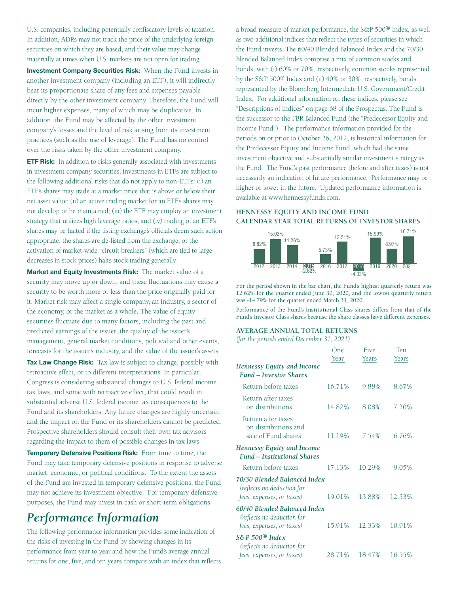U.S. companies, including potentially confiscatory levels of taxation. In addition, ADRs may not track the price of the underlying foreign securities on which they are based, and their value may change materially at times when U.S. markets are not open for trading.

**Investment Company Securities Risk:** When the Fund invests in another investment company (including an ETF), it will indirectly bear its proportionate share of any fees and expenses payable directly by the other investment company. Therefore, the Fund will incur higher expenses, many of which may be duplicative. In addition, the Fund may be affected by the other investment company's losses and the level of risk arising from its investment practices (such as the use of leverage). The Fund has no control over the risks taken by the other investment company.

**ETF Risk:** In addition to risks generally associated with investments in investment company securities, investments in ETFs are subject to the following additional risks that do not apply to non-ETFs: (i) an ETF's shares may trade at a market price that is above or below their net asset value; (ii) an active trading market for an ETF's shares may not develop or be maintained; (iii) the ETF may employ an investment strategy that utilizes high leverage ratios; and (iv) trading of an ETF's shares may be halted if the listing exchange's officials deem such action appropriate, the shares are de-listed from the exchange, or the activation of market-wide "circuit breakers" (which are tied to large decreases in stock prices) halts stock trading generally.

**Market and Equity Investments Risk:** The market value of a security may move up or down, and these fluctuations may cause a security to be worth more or less than the price originally paid for it. Market risk may affect a single company, an industry, a sector of the economy, or the market as a whole. The value of equity securities fluctuate due to many factors, including the past and predicted earnings of the issuer, the quality of the issuer's management, general market conditions, political and other events, forecasts for the issuer's industry, and the value of the issuer's assets.

**Tax Law Change Risk:** Tax law is subject to change, possibly with retroactive effect, or to different interpretations. In particular, Congress is considering substantial changes to U.S. federal income tax laws, and some with retroactive effect, that could result in substantial adverse U.S. federal income tax consequences to the Fund and its shareholders. Any future changes are highly uncertain, and the impact on the Fund or its shareholders cannot be predicted. Prospective shareholders should consult their own tax advisors regarding the impact to them of possible changes in tax laws.

**Temporary Defensive Positions Risk:** From time to time, the Fund may take temporary defensive positions in response to adverse market, economic, or political conditions. To the extent the assets of the Fund are invested in temporary defensive positions, the Fund may not achieve its investment objective. For temporary defensive purposes, the Fund may invest in cash or short-term obligations.

### *Performance Information*

The following performance information provides some indication of the risks of investing in the Fund by showing changes in its performance from year to year and how the Fund's average annual returns for one, five, and ten years compare with an index that reflects a broad measure of market performance, the S&P 500® Index, as well as two additional indices that reflect the types of securities in which the Fund invests. The 60/40 Blended Balanced Index and the 70/30 Blended Balanced Index comprise a mix of common stocks and bonds, with (i) 60% or 70%, respectively, common stocks represented by the S&P 500® Index and (ii) 40% or 30%, respectively, bonds represented by the Bloomberg Intermediate U.S. Government/Credit Index. For additional information on these indices, please see "Descriptions of Indices" on page 68 of the Prospectus. The Fund is the successor to the FBR Balanced Fund (the "Predecessor Equity and Income Fund"). The performance information provided for the periods on or prior to October 26, 2012, is historical information for the Predecessor Equity and Income Fund, which had the same investment objective and substantially similar investment strategy as the Fund. The Fund's past performance (before and after taxes) is not necessarily an indication of future performance. Performance may be higher or lower in the future. Updated performance information is available at www.hennessyfunds.com.

### **HENNESSY EQUITY AND INCOME FUND CALENDAR YEAR TOTAL RETURNS OF INVESTOR SHARES**



For the period shown in the bar chart, the Fund's highest quarterly return was 12.62% for the quarter ended June 30, 2020, and the lowest quarterly return was -14.79% for the quarter ended March 31, 2020.

Performance of the Fund's Institutional Class shares differs from that of the Fund's Investor Class shares because the share classes have different expenses.

#### **AVERAGE ANNUAL TOTAL RETURNS**

*(for the periods ended December 31, 2021)*

|                                                                    | One    | <b>Five</b> | Ten    |
|--------------------------------------------------------------------|--------|-------------|--------|
|                                                                    | Year   | Years       | Years  |
| <b>Hennessy Equity and Income</b><br><b>Fund – Investor Shares</b> |        |             |        |
|                                                                    |        |             |        |
| Return before taxes                                                | 16.71% | 9.88%       | 8.67%  |
| Return after taxes<br>on distributions                             | 14.82% | 8.08%       | 7.20%  |
| Return after taxes<br>on distributions and<br>sale of Fund shares  | 11.19% | 7.54%       | 6.76%  |
| Hennessy Equity and Income<br><b>Fund – Institutional Shares</b>   |        |             |        |
| Return before taxes                                                | 17.13% | 10.29%      | 9.05%  |
| 70/30 Blended Balanced Index<br>(reflects no deduction for         |        |             |        |
| fees, expenses, or taxes)                                          | 19.01% | 13.88%      | 12.33% |
| 60/40 Blended Balanced Index<br>(reflects no deduction for         |        |             |        |
| fees, expenses, or taxes)                                          | 15.91% | 12.33%      | 10.91% |
| S&P 500® Index<br>(reflects no deduction for                       |        |             |        |
| fees, expenses, or taxes)                                          | 28.71% | 18.47%      | 16.55% |